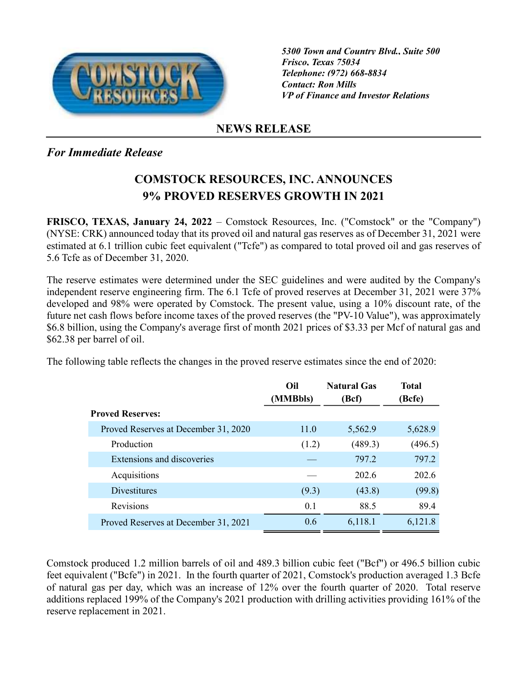

5300 Town and Country Blvd., Suite 500 Frisco, Texas 75034 Telephone: (972) 668-8834 Contact: Ron Mills VP of Finance and Investor Relations

## NEWS RELEASE

## For Immediate Release

## COMSTOCK RESOURCES, INC. ANNOUNCES 9% PROVED RESERVES GROWTH IN 2021

FRISCO, TEXAS, January 24, 2022 – Comstock Resources, Inc. ("Comstock" or the "Company") (NYSE: CRK) announced today that its proved oil and natural gas reserves as of December 31, 2021 were estimated at 6.1 trillion cubic feet equivalent ("Tcfe") as compared to total proved oil and gas reserves of 5.6 Tcfe as of December 31, 2020.

The reserve estimates were determined under the SEC guidelines and were audited by the Company's independent reserve engineering firm. The 6.1 Tcfe of proved reserves at December 31, 2021 were 37% developed and 98% were operated by Comstock. The present value, using a 10% discount rate, of the future net cash flows before income taxes of the proved reserves (the "PV-10 Value"), was approximately \$6.8 billion, using the Company's average first of month 2021 prices of \$3.33 per Mcf of natural gas and \$62.38 per barrel of oil.

The following table reflects the changes in the proved reserve estimates since the end of 2020:

|                                      | Oil<br>(MMBbls) | <b>Natural Gas</b><br>(Bcf) | <b>Total</b><br>(Bcfe) |
|--------------------------------------|-----------------|-----------------------------|------------------------|
| <b>Proved Reserves:</b>              |                 |                             |                        |
| Proved Reserves at December 31, 2020 | 11.0            | 5,562.9                     | 5,628.9                |
| Production                           | (1.2)           | (489.3)                     | (496.5)                |
| Extensions and discoveries           |                 | 797.2                       | 797.2                  |
| Acquisitions                         |                 | 202.6                       | 202.6                  |
| <b>Divestitures</b>                  | (9.3)           | (43.8)                      | (99.8)                 |
| Revisions                            | 0.1             | 88.5                        | 89.4                   |
| Proved Reserves at December 31, 2021 | 0.6             | 6,118.1                     | 6,121.8                |

Comstock produced 1.2 million barrels of oil and 489.3 billion cubic feet ("Bcf") or 496.5 billion cubic feet equivalent ("Bcfe") in 2021. In the fourth quarter of 2021, Comstock's production averaged 1.3 Bcfe of natural gas per day, which was an increase of 12% over the fourth quarter of 2020. Total reserve additions replaced 199% of the Company's 2021 production with drilling activities providing 161% of the reserve replacement in 2021.